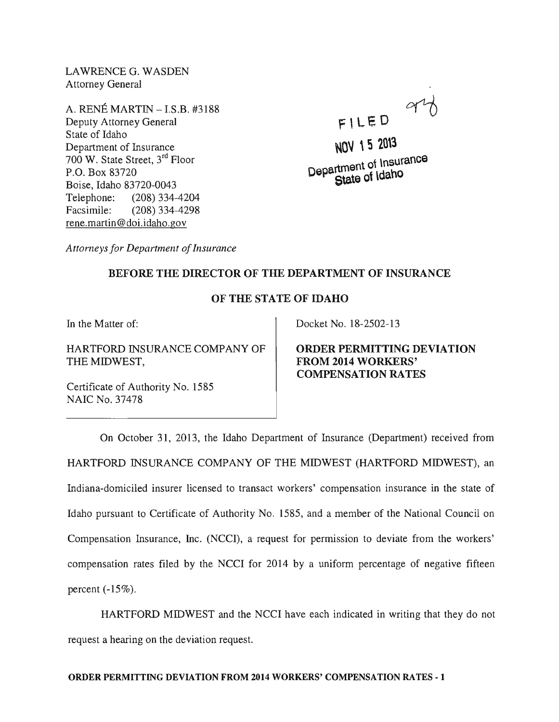LAWRENCE G. WASDEN Attorney General

A. RENE MARTIN -I.S.B. #3188 Deputy Attorney General State of Idaho Department of Insurance 700 W. State Street, 3rd Floor P.O. Box 83720 Boise, Idaho 83720-0043 Telephone: (208) 334-4204 Facsimile: (208) 334-4298 rene.martin@doi.idaho.gov

 $F L E D$ 

NOV 15 2013 <sub>tmant</sub> of Insurance  $D^{\text{e}}$  $\text{C}^{\text{t}}$   $\text{C}^{\text{t}}$  at a  $\text{o}^{\text{t}}$   $\text{Ida}^{\text{h}}$ 

*Attorneys for Department of Insurance* 

## BEFORE THE DIRECTOR OF THE DEPARTMENT OF INSURANCE

## OF THE STATE OF IDAHO

In the Matter of:

HARTFORD INSURANCE COMPANY OF THE MIDWEST,

Certificate of Authority No. 1585 NAIC No. 37478

Docket No. 18-2502-13

ORDER PERMITTING DEVIATION FROM 2014 WORKERS' COMPENSATION RATES

On October 31, 2013, the Idaho Department of Insurance (Department) received from HARTFORD INSURANCE COMPANY OF THE MIDWEST (HARTFORD MIDWEST), an Indiana-domiciled insurer licensed to transact workers' compensation insurance in the state of Idaho pursuant to Certificate of Authority No. 1585, and a member of the National Council on Compensation Insurance, Inc. (NCCI), a request for permission to deviate from the workers' compensation rates filed by the NCCI for 2014 by a uniform percentage of negative fifteen percent  $(-15\%)$ .

HARTFORD MIDWEST and the NCCI have each indicated in writing that they do not request a hearing on the deviation request.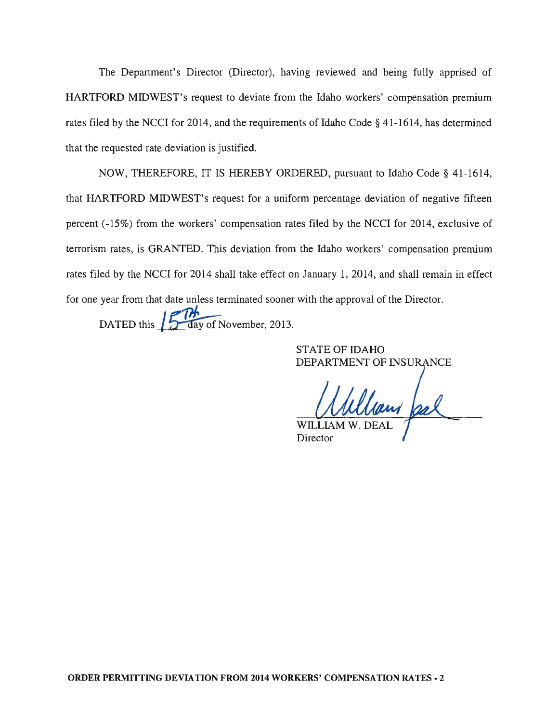The Department's Director (Director), having reviewed and being fully apprised of HARTFORD MIDWEST's request to deviate from the Idaho workers' compensation premium rates filed by the NCCI for 2014, and the requirements of Idaho Code  $\S$  41-1614, has determined that the requested rate deviation is justified.

NOW, THEREFORE, IT IS HEREBY ORDERED, pursuant to Idaho Code § 41-1614, that HARTFORD MIDWEST's request for a uniform percentage deviation of negative fifteen percent (-15%) from the workers' compensation rates filed by the NCCI for 2014, exclusive of terrorism rates, is GRANTED. This deviation from the Idaho workers' compensation premium rates filed by the NCCI for 2014 shall take effect on January 1, 2014, and shall remain in effect for one year from that date unless terminated sooner with the approval of the Director.

DATED this  $\int_{\frac{\pi}{2}}^{\frac{\pi}{2}}$  day of November, 2013.

STATE OF IDAHO DEPARTMENT OF INSURANCE

William feel Director

ORDER PERMITTING DEVIATION FROM 2014 WORKERS' COMPENSATION RATES - 2